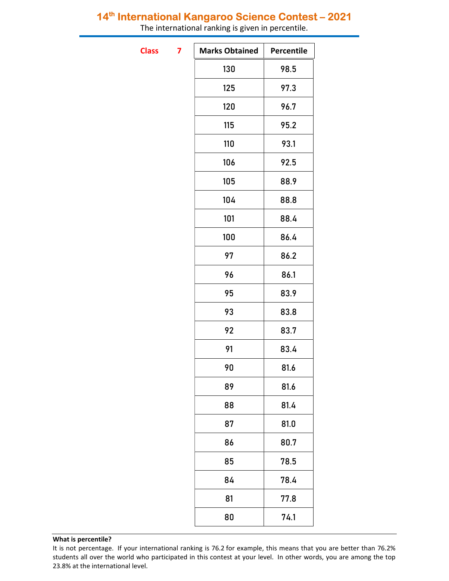## 14<sup>th</sup> International Kangaroo Science Contest - 2021

The international ranking is given in percentile.

**Class** 

| <b>Marks Obtained</b> | Percentile |
|-----------------------|------------|
| 130                   | 98.5       |
| 125                   | 97.3       |
| 120                   | 96.7       |
| 115                   | 95.2       |
| 110                   | 93.1       |
| 106                   | 92.5       |
| 105                   | 88.9       |
| 104                   | 88.8       |
| 101                   | 88.4       |
| 100                   | 86.4       |
| 97                    | 86.2       |
| 96                    | 86.1       |
| 95                    | 83.9       |
| 93                    | 83.8       |
| 92                    | 83.7       |
| 91                    | 83.4       |
| 90                    | 81.6       |
| 89                    | 81.6       |
| 88                    | 81.4       |
| 87                    | 81.0       |
| 86                    | 80.7       |
| 85                    | 78.5       |
| 84                    | 78.4       |
| 81                    | 77.8       |
| 80                    | 74.1       |
|                       |            |

### What is percentile?

It is not percentage. If your international ranking is 76.2 for example, this means that you are better than 76.2% students all over the world who participated in this contest at your level. In other words, you are among the top 23.8% at the international level.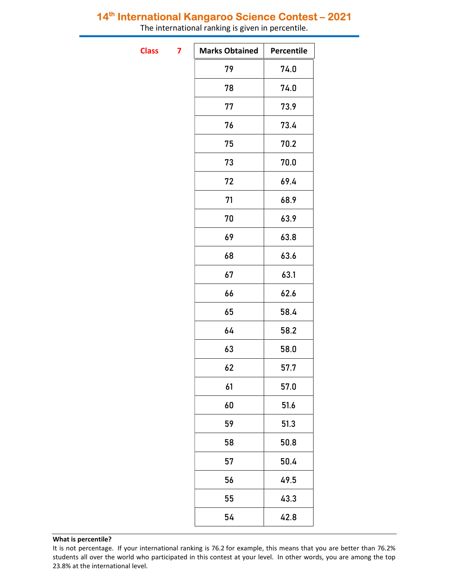## 14<sup>th</sup> International Kangaroo Science Contest - 2021

The international ranking is given in percentile.

**Class** 

| 7 | <b>Marks Obtained</b> | Percentile |
|---|-----------------------|------------|
|   | 79                    | 74.0       |
|   | 78                    | 74.0       |
|   | 77                    | 73.9       |
|   | 76                    | 73.4       |
|   | 75                    | 70.2       |
|   | 73                    | 70.0       |
|   | 72                    | 69.4       |
|   | 71                    | 68.9       |
|   | 70                    | 63.9       |
|   | 69                    | 63.8       |
|   | 68                    | 63.6       |
|   | 67                    | 63.1       |
|   | 66                    | 62.6       |
|   | 65                    | 58.4       |
|   | 64                    | 58.2       |
|   | 63                    | 58.0       |
|   | 62                    | 57.7       |
|   | 61                    | 57.0       |
|   | 60                    | 51.6       |
|   | 59                    | 51.3       |
|   | 58                    | 50.8       |
|   | 57                    | 50.4       |
|   | 56                    | 49.5       |
|   | 55                    | 43.3       |
|   | 54                    | 42.8       |

### What is percentile?

It is not percentage. If your international ranking is 76.2 for example, this means that you are better than 76.2% students all over the world who participated in this contest at your level. In other words, you are among the top 23.8% at the international level.